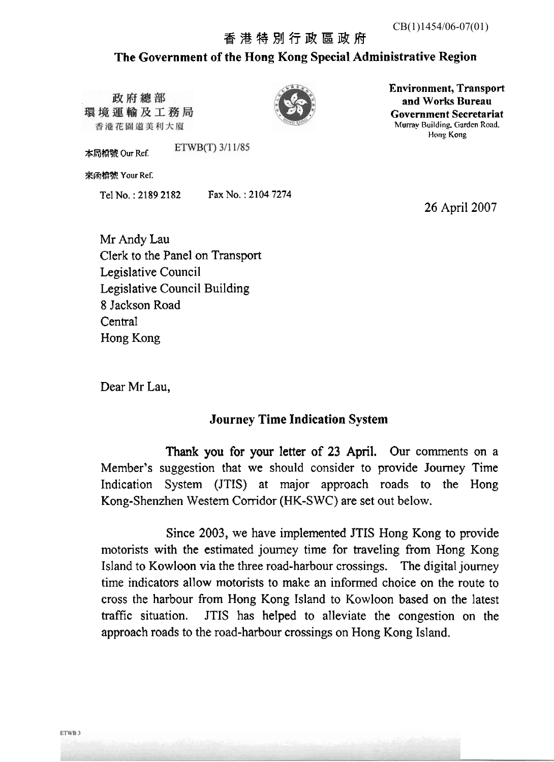## 香港特別行政區政府 **The Government of the Rong Kong Special Administrative Region**

政府總部 環境運輸及工務局 香港花園道美利大廈

本局檔號 Our Ref.

**%I%R% Your Ref.** 



**Environment, Transport and Works Bureau Government Secretariat Mumy** Buildin& **Ciardcn Road. F!ong Kong** 

**26 April** 2007

Mr Andy Lau Clerk to the Panel on Transport Legislative Council **Legislative** Council Building 8 Jackson Road **Central** Hong Kong

Tel **No.** : **2189** 21 **82 Fax No.** : **21 04 7274** 

ETWB(T) 3/11/85

Dear Mr Lau,

## **Journey Time Indication System**

**Thank you** for **your** letter of 23 **April. Our** comments **on** a Member's suggestion that we should consider to provide Journey Time Indication System (JTIS) at major approach roads to the **Hong**  Kong-Shenzhen Western Corridor **(MK-S** WC) are set out **below.** 

**Since** 2003, we have implemented **JTIS** Hong **Kong** to provide motorists **with** the estimated journey time for traveling from Hong Kong Island to **Kowloon via** the thee road-harbour crossings. The digital journey time indicators allow **motorists** to make an informed choice **on the** route to cross the harbour from **Hong** Kong Island to Kowloon **based** on the latest trafic situation. JTIS has helped to alleviate the congestion on the approach roads to the road-harbour crossings on Hong **Kong** IsIand.